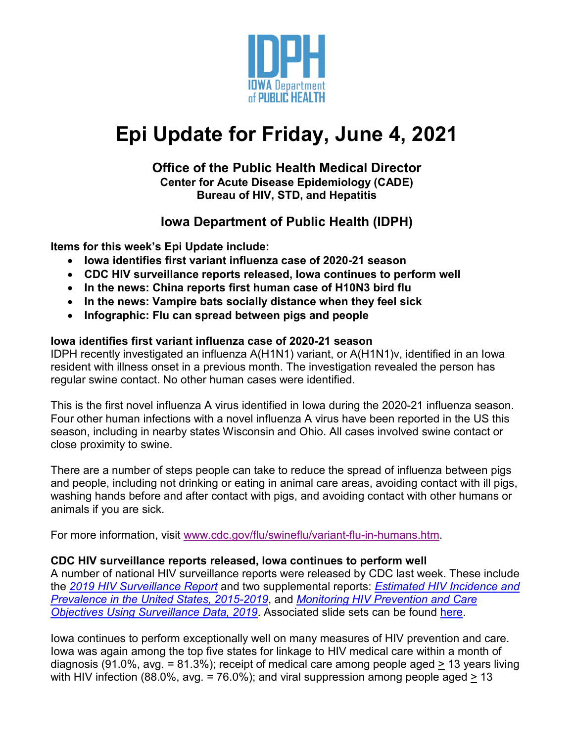

# **Epi Update for Friday, June 4, 2021**

#### **Office of the Public Health Medical Director Center for Acute Disease Epidemiology (CADE) Bureau of HIV, STD, and Hepatitis**

### **Iowa Department of Public Health (IDPH)**

**Items for this week's Epi Update include:**

- **Iowa identifies first variant influenza case of 2020-21 season**
- **CDC HIV surveillance reports released, Iowa continues to perform well**
- **In the news: China reports first human case of H10N3 bird flu**
- **In the news: Vampire bats socially distance when they feel sick**
- **Infographic: Flu can spread between pigs and people**

#### **Iowa identifies first variant influenza case of 2020-21 season**

IDPH recently investigated an influenza A(H1N1) variant, or A(H1N1)v, identified in an Iowa resident with illness onset in a previous month. The investigation revealed the person has regular swine contact. No other human cases were identified.

This is the first novel influenza A virus identified in Iowa during the 2020-21 influenza season. Four other human infections with a novel influenza A virus have been reported in the US this season, including in nearby states Wisconsin and Ohio. All cases involved swine contact or close proximity to swine.

There are a number of steps people can take to reduce the spread of influenza between pigs and people, including not drinking or eating in animal care areas, avoiding contact with ill pigs, washing hands before and after contact with pigs, and avoiding contact with other humans or animals if you are sick.

For more information, visit [www.cdc.gov/flu/swineflu/variant-flu-in-humans.htm.](http://www.cdc.gov/flu/swineflu/variant-flu-in-humans.htm)

#### **CDC HIV surveillance reports released, Iowa continues to perform well**

A number of national HIV surveillance reports were released by CDC last week. These include the *[2019 HIV Surveillance Report](https://www.cdc.gov/hiv/pdf/library/reports/surveillance/cdc-hiv-surveillance-report-2018-updated-vol-32.pdf)* and two supplemental reports: *[Estimated HIV Incidence and](https://www.cdc.gov/hiv/pdf/library/reports/surveillance/cdc-hiv-surveillance-supplemental-report-vol-26-1.pdf)  [Prevalence in the United States, 2015-2019](https://www.cdc.gov/hiv/pdf/library/reports/surveillance/cdc-hiv-surveillance-supplemental-report-vol-26-1.pdf)*, and *[Monitoring HIV Prevention and Care](https://www.cdc.gov/hiv/pdf/library/reports/surveillance/cdc-hiv-surveillance-report-vol-26-no-2.pdf)  [Objectives Using Surveillance Data, 2019](https://www.cdc.gov/hiv/pdf/library/reports/surveillance/cdc-hiv-surveillance-report-vol-26-no-2.pdf)*. Associated slide sets can be found [here.](https://www.cdc.gov/hiv/library/slideSets/index.html)

Iowa continues to perform exceptionally well on many measures of HIV prevention and care. Iowa was again among the top five states for linkage to HIV medical care within a month of diagnosis (91.0%, avg. = 81.3%); receipt of medical care among people aged > 13 years living with HIV infection (88.0%, avg. = 76.0%); and viral suppression among people aged  $> 13$